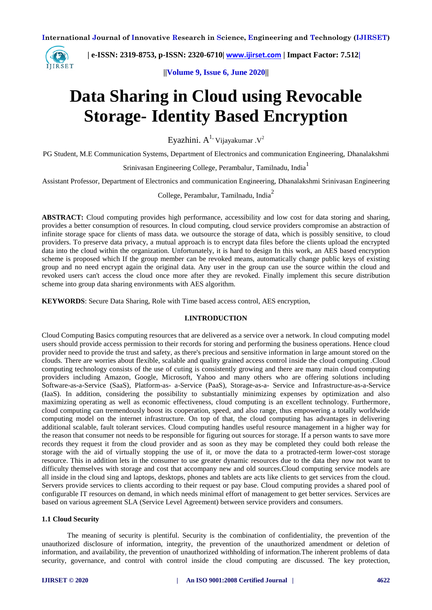

 **| e-ISSN: 2319-8753, p-ISSN: 2320-6710| [www.ijirset.com](http://www.ijirset.com/) | Impact Factor: 7.512|**

**||Volume 9, Issue 6, June 2020||** 

# **Data Sharing in Cloud using Revocable Storage- Identity Based Encryption**

Eyazhini.  $A^1$ <sup>,</sup> Vijayakumar . $V^2$ 

PG Student, M.E Communication Systems, Department of Electronics and communication Engineering, Dhanalakshmi

Srinivasan Engineering College, Perambalur, Tamilnadu, India<sup>1</sup>

Assistant Professor, Department of Electronics and communication Engineering, Dhanalakshmi Srinivasan Engineering

College, Perambalur, Tamilnadu, India<sup>2</sup>

**ABSTRACT:** Cloud computing provides high performance, accessibility and low cost for data storing and sharing, provides a better consumption of resources. In cloud computing, cloud service providers compromise an abstraction of infinite storage space for clients of mass data. we outsource the storage of data, which is possibly sensitive, to cloud providers. To preserve data privacy, a mutual approach is to encrypt data files before the clients upload the encrypted data into the cloud within the organization. Unfortunately, it is hard to design In this work, an AES based encryption scheme is proposed which If the group member can be revoked means, automatically change public keys of existing group and no need encrypt again the original data. Any user in the group can use the source within the cloud and revoked users can't access the cloud once more after they are revoked. Finally implement this secure distribution scheme into group data sharing environments with AES algorithm.

**KEYWORDS**: Secure Data Sharing, Role with Time based access control, AES encryption,

## **I.INTRODUCTION**

Cloud Computing Basics computing resources that are delivered as a service over a network. In cloud computing model users should provide access permission to their records for storing and performing the business operations. Hence cloud provider need to provide the trust and safety, as there's precious and sensitive information in large amount stored on the clouds. There are worries about flexible, scalable and quality grained access control inside the cloud computing .Cloud computing technology consists of the use of cuting is consistently growing and there are many main cloud computing providers including Amazon, Google, Microsoft, Yahoo and many others who are offering solutions including Software-as-a-Service (SaaS), Platform-as- a-Service (PaaS), Storage-as-a- Service and Infrastructure-as-a-Service (IaaS). In addition, considering the possibility to substantially minimizing expenses by optimization and also maximizing operating as well as economic effectiveness, cloud computing is an excellent technology. Furthermore, cloud computing can tremendously boost its cooperation, speed, and also range, thus empowering a totally worldwide computing model on the internet infrastructure. On top of that, the cloud computing has advantages in delivering additional scalable, fault tolerant services. Cloud computing handles useful resource management in a higher way for the reason that consumer not needs to be responsible for figuring out sources for storage. If a person wants to save more records they request it from the cloud provider and as soon as they may be completed they could both release the storage with the aid of virtually stopping the use of it, or move the data to a protracted-term lower-cost storage resource. This in addition lets in the consumer to use greater dynamic resources due to the data they now not want to difficulty themselves with storage and cost that accompany new and old sources.Cloud computing service models are all inside in the cloud sing and laptops, desktops, phones and tablets are acts like clients to get services from the cloud. Servers provide services to clients according to their request or pay base. Cloud computing provides a shared pool of configurable IT resources on demand, in which needs minimal effort of management to get better services. Services are based on various agreement SLA (Service Level Agreement) between service providers and consumers.

# **1.1 Cloud Security**

 The meaning of security is plentiful. Security is the combination of confidentiality, the prevention of the unauthorized disclosure of information, integrity, the prevention of the unauthorized amendment or deletion of information, and availability, the prevention of unauthorized withholding of information.The inherent problems of data security, governance, and control with control inside the cloud computing are discussed. The key protection,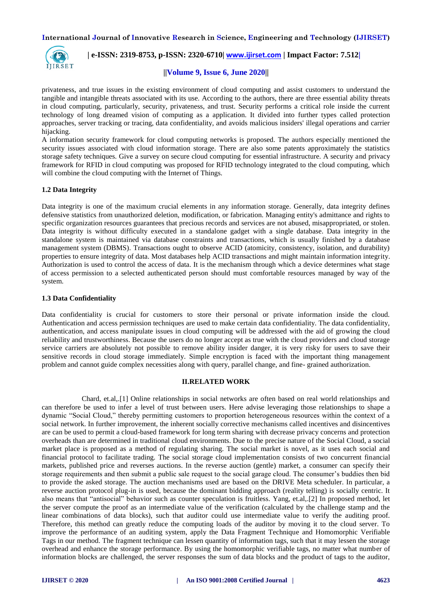

# **| e-ISSN: 2319-8753, p-ISSN: 2320-6710| [www.ijirset.com](http://www.ijirset.com/) | Impact Factor: 7.512|**

#### **||Volume 9, Issue 6, June 2020||**

privateness, and true issues in the existing environment of cloud computing and assist customers to understand the tangible and intangible threats associated with its use. According to the authors, there are three essential ability threats in cloud computing, particularly, security, privateness, and trust. Security performs a critical role inside the current technology of long dreamed vision of computing as a application. It divided into further types called protection approaches, server tracking or tracing, data confidentiality, and avoids malicious insiders' illegal operations and carrier hijacking.

A information security framework for cloud computing networks is proposed. The authors especially mentioned the security issues associated with cloud information storage. There are also some patents approximately the statistics storage safety techniques. Give a survey on secure cloud computing for essential infrastructure. A security and privacy framework for RFID in cloud computing was proposed for RFID technology integrated to the cloud computing, which will combine the cloud computing with the Internet of Things.

#### **1.2 Data Integrity**

Data integrity is one of the maximum crucial elements in any information storage. Generally, data integrity defines defensive statistics from unauthorized deletion, modification, or fabrication. Managing entity's admittance and rights to specific organization resources guarantees that precious records and services are not abused, misappropriated, or stolen. Data integrity is without difficulty executed in a standalone gadget with a single database. Data integrity in the standalone system is maintained via database constraints and transactions, which is usually finished by a database management system (DBMS). Transactions ought to observe ACID (atomicity, consistency, isolation, and durability) properties to ensure integrity of data. Most databases help ACID transactions and might maintain information integrity. Authorization is used to control the access of data. It is the mechanism through which a device determines what stage of access permission to a selected authenticated person should must comfortable resources managed by way of the system.

#### **1.3 Data Confidentiality**

Data confidentiality is crucial for customers to store their personal or private information inside the cloud. Authentication and access permission techniques are used to make certain data confidentiality. The data confidentiality, authentication, and access manipulate issues in cloud computing will be addressed with the aid of growing the cloud reliability and trustworthiness. Because the users do no longer accept as true with the cloud providers and cloud storage service carriers are absolutely not possible to remove ability insider danger, it is very risky for users to save their sensitive records in cloud storage immediately. Simple encryption is faced with the important thing management problem and cannot guide complex necessities along with query, parallel change, and fine- grained authorization.

#### **II.RELATED WORK**

 Chard, et.al,.[1] Online relationships in social networks are often based on real world relationships and can therefore be used to infer a level of trust between users. Here advise leveraging those relationships to shape a dynamic "Social Cloud," thereby permitting customers to proportion heterogeneous resources within the context of a social network. In further improvement, the inherent socially corrective mechanisms called incentives and disincentives are can be used to permit a cloud-based framework for long term sharing with decrease privacy concerns and protection overheads than are determined in traditional cloud environments. Due to the precise nature of the Social Cloud, a social market place is proposed as a method of regulating sharing. The social market is novel, as it uses each social and financial protocol to facilitate trading. The social storage cloud implementation consists of two concurrent financial markets, published price and reverses auctions. In the reverse auction (gentle) market, a consumer can specify their storage requirements and then submit a public sale request to the social garage cloud. The consumer's buddies then bid to provide the asked storage. The auction mechanisms used are based on the DRIVE Meta scheduler. In particular, a reverse auction protocol plug-in is used, because the dominant bidding approach (reality telling) is socially centric. It also means that "antisocial" behavior such as counter speculation is fruitless. Yang, et.al,.[2] In proposed method, let the server compute the proof as an intermediate value of the verification (calculated by the challenge stamp and the linear combinations of data blocks), such that auditor could use intermediate value to verify the auditing proof. Therefore, this method can greatly reduce the computing loads of the auditor by moving it to the cloud server. To improve the performance of an auditing system, apply the Data Fragment Technique and Homomorphic Verifiable Tags in our method. The fragment technique can lessen quantity of information tags, such that it may lessen the storage overhead and enhance the storage performance. By using the homomorphic verifiable tags, no matter what number of information blocks are challenged, the server responses the sum of data blocks and the product of tags to the auditor,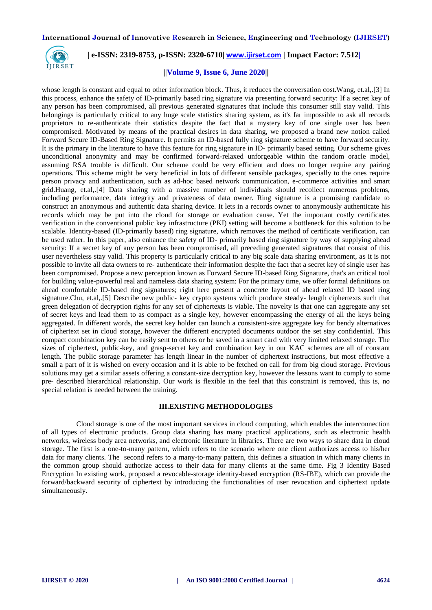

# **| e-ISSN: 2319-8753, p-ISSN: 2320-6710| [www.ijirset.com](http://www.ijirset.com/) | Impact Factor: 7.512|**

## **||Volume 9, Issue 6, June 2020||**

whose length is constant and equal to other information block. Thus, it reduces the conversation cost. Wang, et.al,.<sup>[3]</sup> In this process, enhance the safety of ID-primarily based ring signature via presenting forward security: If a secret key of any person has been compromised, all previous generated signatures that include this consumer still stay valid. This belongings is particularly critical to any huge scale statistics sharing system, as it's far impossible to ask all records proprietors to re-authenticate their statistics despite the fact that a mystery key of one single user has been compromised. Motivated by means of the practical desires in data sharing, we proposed a brand new notion called Forward Secure ID-Based Ring Signature. It permits an ID-based fully ring signature scheme to have forward security. It is the primary in the literature to have this feature for ring signature in ID- primarily based setting. Our scheme gives unconditional anonymity and may be confirmed forward-relaxed unforgeable within the random oracle model, assuming RSA trouble is difficult. Our scheme could be very efficient and does no longer require any pairing operations. This scheme might be very beneficial in lots of different sensible packages, specially to the ones require person privacy and authentication, such as ad-hoc based network communication, e-commerce activities and smart grid.Huang, et.al,.[4] Data sharing with a massive number of individuals should recollect numerous problems, including performance, data integrity and privateness of data owner. Ring signature is a promising candidate to construct an anonymous and authentic data sharing device. It lets in a records owner to anonymously authenticate his records which may be put into the cloud for storage or evaluation cause. Yet the important costly certificates verification in the conventional public key infrastructure (PKI) setting will become a bottleneck for this solution to be scalable. Identity-based (ID-primarily based) ring signature, which removes the method of certificate verification, can be used rather. In this paper, also enhance the safety of ID- primarily based ring signature by way of supplying ahead security: If a secret key of any person has been compromised, all preceding generated signatures that consist of this user nevertheless stay valid. This property is particularly critical to any big scale data sharing environment, as it is not possible to invite all data owners to re- authenticate their information despite the fact that a secret key of single user has been compromised. Propose a new perception known as Forward Secure ID-based Ring Signature, that's an critical tool for building value-powerful real and nameless data sharing system: For the primary time, we offer formal definitions on ahead comfortable ID-based ring signatures; right here present a concrete layout of ahead relaxed ID based ring signature.Chu, et.al,.[5] Describe new public- key crypto systems which produce steady- length ciphertexts such that green delegation of decryption rights for any set of ciphertexts is viable. The novelty is that one can aggregate any set of secret keys and lead them to as compact as a single key, however encompassing the energy of all the keys being aggregated. In different words, the secret key holder can launch a consistent-size aggregate key for bendy alternatives of ciphertext set in cloud storage, however the different encrypted documents outdoor the set stay confidential. This compact combination key can be easily sent to others or be saved in a smart card with very limited relaxed storage. The sizes of ciphertext, public-key, and grasp-secret key and combination key in our KAC schemes are all of constant length. The public storage parameter has length linear in the number of ciphertext instructions, but most effective a small a part of it is wished on every occasion and it is able to be fetched on call for from big cloud storage. Previous solutions may get a similar assets offering a constant-size decryption key, however the lessons want to comply to some pre- described hierarchical relationship. Our work is flexible in the feel that this constraint is removed, this is, no special relation is needed between the training.

#### **III.EXISTING METHODOLOGIES**

 Cloud storage is one of the most important services in cloud computing, which enables the interconnection of all types of electronic products. Group data sharing has many practical applications, such as electronic health networks, wireless body area networks, and electronic literature in libraries. There are two ways to share data in cloud storage. The first is a one-to-many pattern, which refers to the scenario where one client authorizes access to his/her data for many clients. The second refers to a many-to-many pattern, this defines a situation in which many clients in the common group should authorize access to their data for many clients at the same time. Fig 3 Identity Based Encryption In existing work, proposed a revocable-storage identity-based encryption (RS-IBE), which can provide the forward/backward security of ciphertext by introducing the functionalities of user revocation and ciphertext update simultaneously.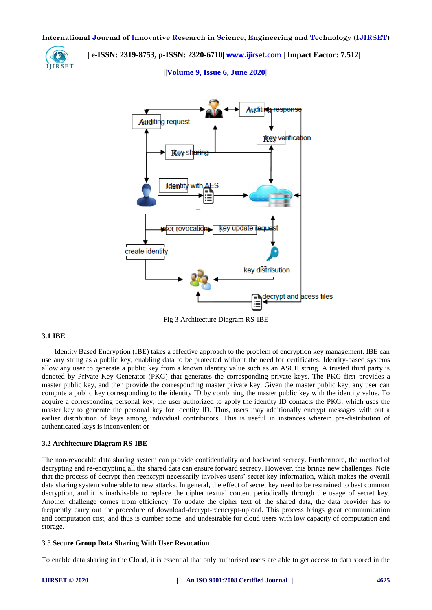

 **| e-ISSN: 2319-8753, p-ISSN: 2320-6710| [www.ijirset.com](http://www.ijirset.com/) | Impact Factor: 7.512|**

**||Volume 9, Issue 6, June 2020||** 



Fig 3 Architecture Diagram RS-IBE

#### **3.1 IBE**

 Identity Based Encryption (IBE) takes a effective approach to the problem of encryption key management. IBE can use any string as a public key, enabling data to be protected without the need for certificates. Identity-based systems allow any user to generate a public key from a known identity value such as an ASCII string. A trusted third party is denoted by Private Key Generator (PKG) that generates the corresponding private keys. The PKG first provides a master public key, and then provide the corresponding master private key. Given the master public key, any user can compute a public key corresponding to the identity ID by combining the master public key with the identity value. To acquire a corresponding personal key, the user authorized to apply the identity ID contacts the PKG, which uses the master key to generate the personal key for Identity ID. Thus, users may additionally encrypt messages with out a earlier distribution of keys among individual contributors. This is useful in instances wherein pre-distribution of authenticated keys is inconvenient or

#### **3.2 Architecture Diagram RS-IBE**

The non-revocable data sharing system can provide confidentiality and backward secrecy. Furthermore, the method of decrypting and re-encrypting all the shared data can ensure forward secrecy. However, this brings new challenges. Note that the process of decrypt-then reencrypt necessarily involves users' secret key information, which makes the overall data sharing system vulnerable to new attacks. In general, the effect of secret key need to be restrained to best common decryption, and it is inadvisable to replace the cipher textual content periodically through the usage of secret key. Another challenge comes from efficiency. To update the cipher text of the shared data, the data provider has to frequently carry out the procedure of download-decrypt-reencrypt-upload. This process brings great communication and computation cost, and thus is cumber some and undesirable for cloud users with low capacity of computation and storage.

## 3.3 **Secure Group Data Sharing With User Revocation**

To enable data sharing in the Cloud, it is essential that only authorised users are able to get access to data stored in the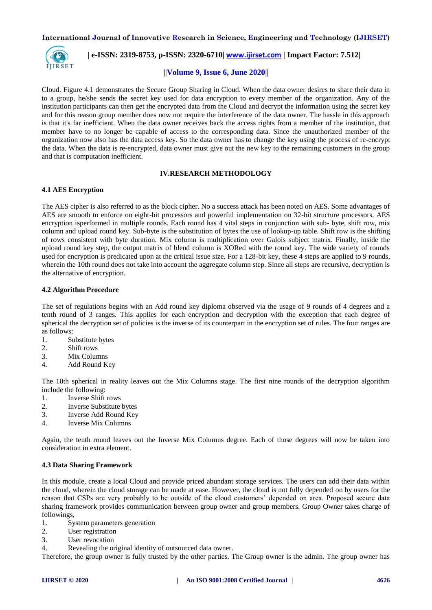

# **| e-ISSN: 2319-8753, p-ISSN: 2320-6710| [www.ijirset.com](http://www.ijirset.com/) | Impact Factor: 7.512|**

# **||Volume 9, Issue 6, June 2020||**

Cloud. Figure 4.1 demonstrates the Secure Group Sharing in Cloud. When the data owner desires to share their data in to a group, he/she sends the secret key used for data encryption to every member of the organization. Any of the institution participants can then get the encrypted data from the Cloud and decrypt the information using the secret key and for this reason group member does now not require the interference of the data owner. The hassle in this approach is that it's far inefficient. When the data owner receives back the access rights from a member of the institution, that member have to no longer be capable of access to the corresponding data. Since the unauthorized member of the organization now also has the data access key. So the data owner has to change the key using the process of re-encrypt the data. When the data is re-encrypted, data owner must give out the new key to the remaining customers in the group and that is computation inefficient.

## **IV.RESEARCH METHODOLOGY**

## **4.1 AES Encryption**

The AES cipher is also referred to as the block cipher. No a success attack has been noted on AES. Some advantages of AES are smooth to enforce on eight-bit processors and powerful implementation on 32-bit structure processors. AES encryption isperformed in multiple rounds. Each round has 4 vital steps in conjunction with sub- byte, shift row, mix column and upload round key. Sub-byte is the substitution of bytes the use of lookup-up table. Shift row is the shifting of rows consistent with byte duration. Mix column is multiplication over Galois subject matrix. Finally, inside the upload round key step, the output matrix of blend column is XORed with the round key. The wide variety of rounds used for encryption is predicated upon at the critical issue size. For a 128-bit key, these 4 steps are applied to 9 rounds, wherein the 10th round does not take into account the aggregate column step. Since all steps are recursive, decryption is the alternative of encryption.

## **4.2 Algorithm Procedure**

The set of regulations begins with an Add round key diploma observed via the usage of 9 rounds of 4 degrees and a tenth round of 3 ranges. This applies for each encryption and decryption with the exception that each degree of spherical the decryption set of policies is the inverse of its counterpart in the encryption set of rules. The four ranges are as follows:

- 1. Substitute bytes
- 2. Shift rows
- 3. Mix Columns
- 4. Add Round Key

The 10th spherical in reality leaves out the Mix Columns stage. The first nine rounds of the decryption algorithm include the following:

- 1. Inverse Shift rows
- 2. Inverse Substitute bytes
- 3. Inverse Add Round Key
- 4. Inverse Mix Columns

Again, the tenth round leaves out the Inverse Mix Columns degree. Each of those degrees will now be taken into consideration in extra element.

#### **4.3 Data Sharing Framework**

In this module, create a local Cloud and provide priced abundant storage services. The users can add their data within the cloud, wherein the cloud storage can be made at ease. However, the cloud is not fully depended on by users for the reason that CSPs are very probably to be outside of the cloud customers' depended on area. Proposed secure data sharing framework provides communication between group owner and group members. Group Owner takes charge of followings,

- 1. System parameters generation
- 2. User registration
- 3. User revocation
- 4. Revealing the original identity of outsourced data owner.

Therefore, the group owner is fully trusted by the other parties. The Group owner is the admin. The group owner has